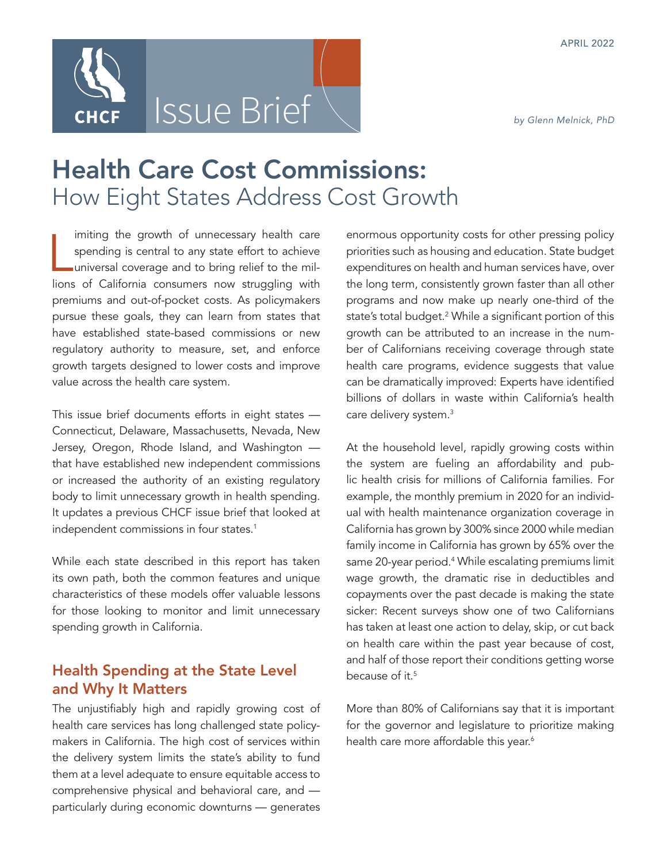

# Health Care Cost Commissions: How Eight States Address Cost Growth

imiting the growth of unnecessary health care<br>spending is central to any state effort to achieve<br>universal coverage and to bring relief to the mil-<br>lions of California consumers now struggling with imiting the growth of unnecessary health care spending is central to any state effort to achieve universal coverage and to bring relief to the milpremiums and out-of-pocket costs. As policymakers pursue these goals, they can learn from states that have established state-based commissions or new regulatory authority to measure, set, and enforce growth targets designed to lower costs and improve value across the health care system.

This issue brief documents efforts in eight states — Connecticut, Delaware, Massachusetts, Nevada, New Jersey, Oregon, Rhode Island, and Washington that have established new independent commissions or increased the authority of an existing regulatory body to limit unnecessary growth in health spending. It updates a previous CHCF issue brief that looked at independent commissions in four states.<sup>1</sup>

While each state described in this report has taken its own path, both the common features and unique characteristics of these models offer valuable lessons for those looking to monitor and limit unnecessary spending growth in California.

# Health Spending at the State Level and Why It Matters

The unjustifiably high and rapidly growing cost of health care services has long challenged state policymakers in California. The high cost of services within the delivery system limits the state's ability to fund them at a level adequate to ensure equitable access to comprehensive physical and behavioral care, and particularly during economic downturns — generates

enormous opportunity costs for other pressing policy priorities such as housing and education. State budget expenditures on health and human services have, over the long term, consistently grown faster than all other programs and now make up nearly one-third of the state's total budget.2 While a significant portion of this growth can be attributed to an increase in the number of Californians receiving coverage through state health care programs, evidence suggests that value can be dramatically improved: Experts have identified billions of dollars in waste within California's health care delivery system.<sup>3</sup>

At the household level, rapidly growing costs within the system are fueling an affordability and public health crisis for millions of California families. For example, the monthly premium in 2020 for an individual with health maintenance organization coverage in California has grown by 300% since 2000 while median family income in California has grown by 65% over the same 20-year period.4 While escalating premiums limit wage growth, the dramatic rise in deductibles and copayments over the past decade is making the state sicker: Recent surveys show one of two Californians has taken at least one action to delay, skip, or cut back on health care within the past year because of cost, and half of those report their conditions getting worse because of it.5

More than 80% of Californians say that it is important for the governor and legislature to prioritize making health care more affordable this year.<sup>6</sup>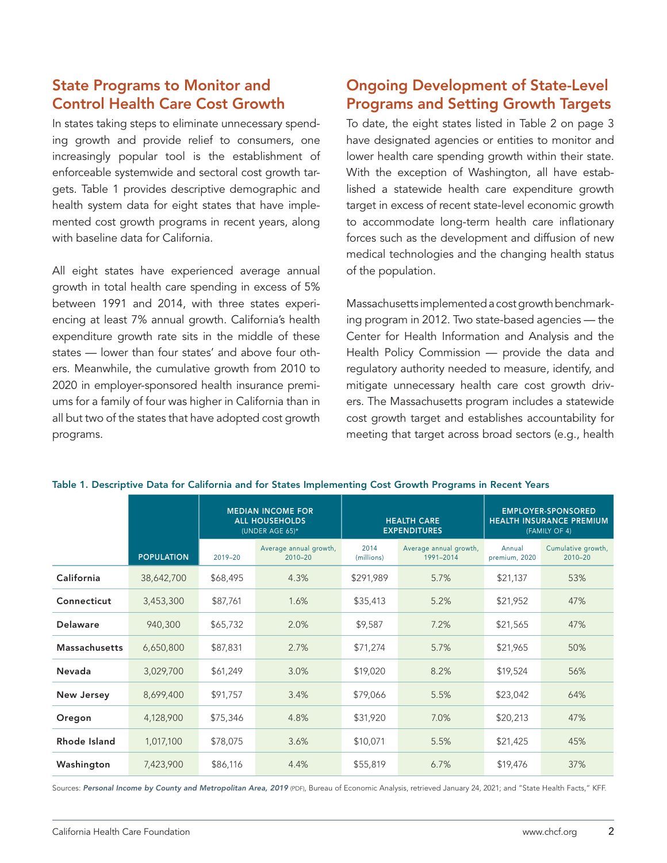# State Programs to Monitor and Control Health Care Cost Growth

In states taking steps to eliminate unnecessary spending growth and provide relief to consumers, one increasingly popular tool is the establishment of enforceable systemwide and sectoral cost growth targets. Table 1 provides descriptive demographic and health system data for eight states that have implemented cost growth programs in recent years, along with baseline data for California.

All eight states have experienced average annual growth in total health care spending in excess of 5% between 1991 and 2014, with three states experiencing at least 7% annual growth. California's health expenditure growth rate sits in the middle of these states — lower than four states' and above four others. Meanwhile, the cumulative growth from 2010 to 2020 in employer-sponsored health insurance premiums for a family of four was higher in California than in all but two of the states that have adopted cost growth programs.

# Ongoing Development of State-Level Programs and Setting Growth Targets

To date, the eight states listed in Table 2 on page 3 have designated agencies or entities to monitor and lower health care spending growth within their state. With the exception of Washington, all have established a statewide health care expenditure growth target in excess of recent state-level economic growth to accommodate long-term health care inflationary forces such as the development and diffusion of new medical technologies and the changing health status of the population.

Massachusetts implemented a cost growth benchmarking program in 2012. Two state-based agencies — the Center for Health Information and Analysis and the Health Policy Commission - provide the data and regulatory authority needed to measure, identify, and mitigate unnecessary health care cost growth drivers. The Massachusetts program includes a statewide cost growth target and establishes accountability for meeting that target across broad sectors (e.g., health

|                      |                   | <b>MEDIAN INCOME FOR</b><br><b>ALL HOUSEHOLDS</b><br>(UNDER AGE 65)* |                                       | <b>HEALTH CARE</b><br><b>EXPENDITURES</b> |                                     | <b>EMPLOYER-SPONSORED</b><br><b>HEALTH INSURANCE PREMIUM</b><br>(FAMILY OF 4) |                                   |
|----------------------|-------------------|----------------------------------------------------------------------|---------------------------------------|-------------------------------------------|-------------------------------------|-------------------------------------------------------------------------------|-----------------------------------|
|                      | <b>POPULATION</b> | $2019 - 20$                                                          | Average annual growth,<br>$2010 - 20$ | 2014<br>(millions)                        | Average annual growth,<br>1991-2014 | Annual<br>premium, 2020                                                       | Cumulative growth,<br>$2010 - 20$ |
| California           | 38,642,700        | \$68,495                                                             | 4.3%                                  | \$291,989                                 | 5.7%                                | \$21,137                                                                      | 53%                               |
| Connecticut          | 3,453,300         | \$87,761                                                             | 1.6%                                  | \$35,413                                  | 5.2%                                | \$21,952                                                                      | 47%                               |
| <b>Delaware</b>      | 940,300           | \$65,732                                                             | 2.0%                                  | \$9,587                                   | 7.2%                                | \$21,565                                                                      | 47%                               |
| <b>Massachusetts</b> | 6,650,800         | \$87,831                                                             | 2.7%                                  | \$71,274                                  | 5.7%                                | \$21,965                                                                      | 50%                               |
| Nevada               | 3,029,700         | \$61,249                                                             | 3.0%                                  | \$19,020                                  | 8.2%                                | \$19,524                                                                      | 56%                               |
| <b>New Jersey</b>    | 8,699,400         | \$91,757                                                             | 3.4%                                  | \$79,066                                  | 5.5%                                | \$23,042                                                                      | 64%                               |
| Oregon               | 4,128,900         | \$75,346                                                             | 4.8%                                  | \$31,920                                  | 7.0%                                | \$20,213                                                                      | 47%                               |
| Rhode Island         | 1,017,100         | \$78,075                                                             | 3.6%                                  | \$10,071                                  | 5.5%                                | \$21,425                                                                      | 45%                               |
| Washington           | 7,423,900         | \$86,116                                                             | 4.4%                                  | \$55,819                                  | 6.7%                                | \$19,476                                                                      | 37%                               |

#### Table 1. Descriptive Data for California and for States Implementing Cost Growth Programs in Recent Years

Sources: [Personal Income by County and Metropolitan Area, 2019](https://www.bea.gov/data/income-saving/personal-income-county-metro-and-other-areas) (PDF), Bureau of Economic Analysis, retrieved January 24, 2021; and "State Health Facts," KFF.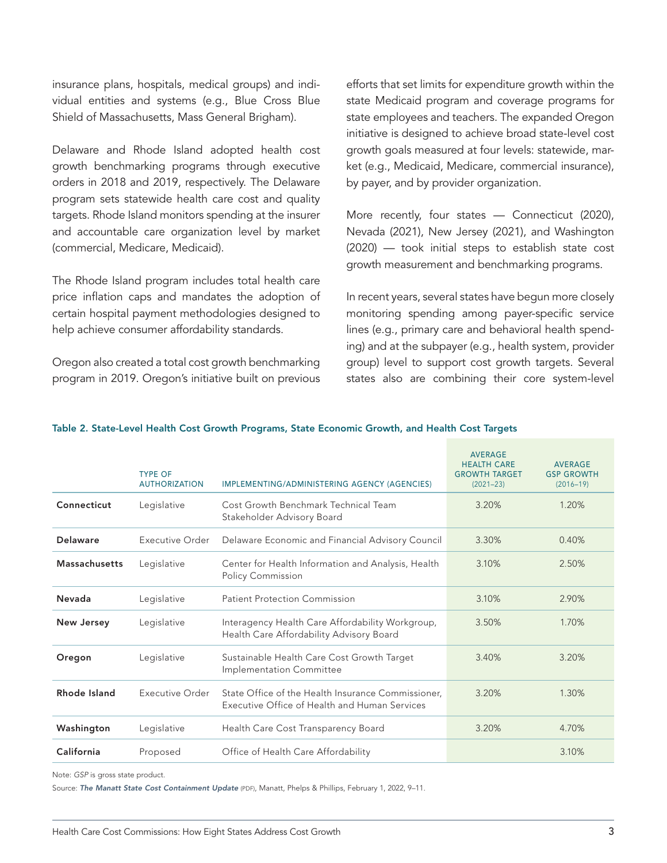insurance plans, hospitals, medical groups) and individual entities and systems (e.g., Blue Cross Blue Shield of Massachusetts, Mass General Brigham).

Delaware and Rhode Island adopted health cost growth benchmarking programs through executive orders in 2018 and 2019, respectively. The Delaware program sets statewide health care cost and quality targets. Rhode Island monitors spending at the insurer and accountable care organization level by market (commercial, Medicare, Medicaid).

The Rhode Island program includes total health care price inflation caps and mandates the adoption of certain hospital payment methodologies designed to help achieve consumer affordability standards.

Oregon also created a total cost growth benchmarking program in 2019. Oregon's initiative built on previous efforts that set limits for expenditure growth within the state Medicaid program and coverage programs for state employees and teachers. The expanded Oregon initiative is designed to achieve broad state-level cost growth goals measured at four levels: statewide, market (e.g., Medicaid, Medicare, commercial insurance), by payer, and by provider organization.

More recently, four states - Connecticut (2020), Nevada (2021), New Jersey (2021), and Washington (2020) — took initial steps to establish state cost growth measurement and benchmarking programs.

In recent years, several states have begun more closely monitoring spending among payer-specific service lines (e.g., primary care and behavioral health spending) and at the subpayer (e.g., health system, provider group) level to support cost growth targets. Several states also are combining their core system-level

| Connecticut<br>Cost Growth Benchmark Technical Team<br>3.20%<br>1.20%<br>Legislative<br>Stakeholder Advisory Board<br>Executive Order<br>Delaware<br>Delaware Economic and Financial Advisory Council<br>3.30%<br>0.40%<br><b>Massachusetts</b><br>Legislative<br>Center for Health Information and Analysis, Health<br>3.10%<br>2.50%<br><b>Policy Commission</b><br>Nevada<br>Legislative<br><b>Patient Protection Commission</b><br>3.10%<br>2.90%<br><b>New Jersey</b><br>Legislative<br>Interagency Health Care Affordability Workgroup,<br>3.50%<br>1.70%<br>Health Care Affordability Advisory Board<br>3.40%<br>Legislative<br>Sustainable Health Care Cost Growth Target<br>3.20%<br>Oregon<br>Implementation Committee | <b>TYPE OF</b><br><b>AUTHORIZATION</b> | IMPLEMENTING/ADMINISTERING AGENCY (AGENCIES) | <b>AVERAGE</b><br><b>HEALTH CARE</b><br><b>GROWTH TARGET</b><br>$(2021 - 23)$ | <b>AVERAGE</b><br><b>GSP GROWTH</b><br>$(2016 - 19)$ |
|----------------------------------------------------------------------------------------------------------------------------------------------------------------------------------------------------------------------------------------------------------------------------------------------------------------------------------------------------------------------------------------------------------------------------------------------------------------------------------------------------------------------------------------------------------------------------------------------------------------------------------------------------------------------------------------------------------------------------------|----------------------------------------|----------------------------------------------|-------------------------------------------------------------------------------|------------------------------------------------------|
|                                                                                                                                                                                                                                                                                                                                                                                                                                                                                                                                                                                                                                                                                                                                  |                                        |                                              |                                                                               |                                                      |
|                                                                                                                                                                                                                                                                                                                                                                                                                                                                                                                                                                                                                                                                                                                                  |                                        |                                              |                                                                               |                                                      |
|                                                                                                                                                                                                                                                                                                                                                                                                                                                                                                                                                                                                                                                                                                                                  |                                        |                                              |                                                                               |                                                      |
|                                                                                                                                                                                                                                                                                                                                                                                                                                                                                                                                                                                                                                                                                                                                  |                                        |                                              |                                                                               |                                                      |
|                                                                                                                                                                                                                                                                                                                                                                                                                                                                                                                                                                                                                                                                                                                                  |                                        |                                              |                                                                               |                                                      |
|                                                                                                                                                                                                                                                                                                                                                                                                                                                                                                                                                                                                                                                                                                                                  |                                        |                                              |                                                                               |                                                      |
| Rhode Island<br>Executive Order<br>State Office of the Health Insurance Commissioner,<br>3.20%<br>1.30%<br>Executive Office of Health and Human Services                                                                                                                                                                                                                                                                                                                                                                                                                                                                                                                                                                         |                                        |                                              |                                                                               |                                                      |
| Washington<br>3.20%<br>Legislative<br>Health Care Cost Transparency Board<br>4.70%                                                                                                                                                                                                                                                                                                                                                                                                                                                                                                                                                                                                                                               |                                        |                                              |                                                                               |                                                      |
| California<br>Office of Health Care Affordability<br>3.10%<br>Proposed                                                                                                                                                                                                                                                                                                                                                                                                                                                                                                                                                                                                                                                           |                                        |                                              |                                                                               |                                                      |

#### Table 2. State-Level Health Cost Growth Programs, State Economic Growth, and Health Cost Targets

Note: *GSP* is gross state product.

Source: *[The Manatt State Cost Containment Update](https://www.manatt.com/Manatt/media/Media/PDF/RWJF_Manatt-State-Cost-Containment-Update_February-2022-vFinal.pdf)* (PDF), Manatt, Phelps & Phillips, February 1, 2022, 9–11.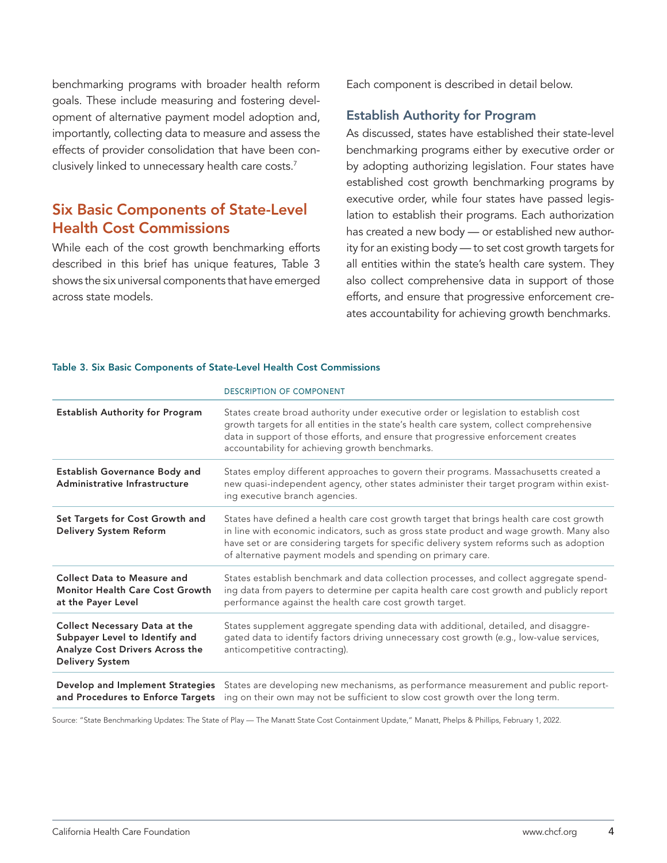benchmarking programs with broader health reform goals. These include measuring and fostering development of alternative payment model adoption and, importantly, collecting data to measure and assess the effects of provider consolidation that have been conclusively linked to unnecessary health care costs.<sup>7</sup>

# Six Basic Components of State-Level Health Cost Commissions

While each of the cost growth benchmarking efforts described in this brief has unique features, Table 3 shows the six universal components that have emerged across state models.

Each component is described in detail below.

#### Establish Authority for Program

As discussed, states have established their state-level benchmarking programs either by executive order or by adopting authorizing legislation. Four states have established cost growth benchmarking programs by executive order, while four states have passed legislation to establish their programs. Each authorization has created a new body — or established new authority for an existing body — to set cost growth targets for all entities within the state's health care system. They also collect comprehensive data in support of those efforts, and ensure that progressive enforcement creates accountability for achieving growth benchmarks.

#### Table 3. Six Basic Components of State-Level Health Cost Commissions

| <b>Establish Authority for Program</b><br>States create broad authority under executive order or legislation to establish cost<br>growth targets for all entities in the state's health care system, collect comprehensive<br>data in support of those efforts, and ensure that progressive enforcement creates<br>accountability for achieving growth benchmarks.<br><b>Establish Governance Body and</b><br>States employ different approaches to govern their programs. Massachusetts created a<br>Administrative Infrastructure<br>new quasi-independent agency, other states administer their target program within exist-<br>ing executive branch agencies.<br>Set Targets for Cost Growth and<br>States have defined a health care cost growth target that brings health care cost growth<br>in line with economic indicators, such as gross state product and wage growth. Many also<br>Delivery System Reform<br>have set or are considering targets for specific delivery system reforms such as adoption<br>of alternative payment models and spending on primary care.<br><b>Collect Data to Measure and</b><br>States establish benchmark and data collection processes, and collect aggregate spend-<br>ing data from payers to determine per capita health care cost growth and publicly report<br><b>Monitor Health Care Cost Growth</b><br>performance against the health care cost growth target.<br>at the Payer Level<br><b>Collect Necessary Data at the</b><br>States supplement aggregate spending data with additional, detailed, and disaggre-<br>gated data to identify factors driving unnecessary cost growth (e.g., low-value services,<br>Subpayer Level to Identify and<br>Analyze Cost Drivers Across the<br>anticompetitive contracting).<br>Delivery System<br>Develop and Implement Strategies States are developing new mechanisms, as performance measurement and public report-<br>and Procedures to Enforce Targets ing on their own may not be sufficient to slow cost growth over the long term. | <b>DESCRIPTION OF COMPONENT</b> |
|-------------------------------------------------------------------------------------------------------------------------------------------------------------------------------------------------------------------------------------------------------------------------------------------------------------------------------------------------------------------------------------------------------------------------------------------------------------------------------------------------------------------------------------------------------------------------------------------------------------------------------------------------------------------------------------------------------------------------------------------------------------------------------------------------------------------------------------------------------------------------------------------------------------------------------------------------------------------------------------------------------------------------------------------------------------------------------------------------------------------------------------------------------------------------------------------------------------------------------------------------------------------------------------------------------------------------------------------------------------------------------------------------------------------------------------------------------------------------------------------------------------------------------------------------------------------------------------------------------------------------------------------------------------------------------------------------------------------------------------------------------------------------------------------------------------------------------------------------------------------------------------------------------------------------------------------------------------------------------------------------------------------------------------------|---------------------------------|
|                                                                                                                                                                                                                                                                                                                                                                                                                                                                                                                                                                                                                                                                                                                                                                                                                                                                                                                                                                                                                                                                                                                                                                                                                                                                                                                                                                                                                                                                                                                                                                                                                                                                                                                                                                                                                                                                                                                                                                                                                                           |                                 |
|                                                                                                                                                                                                                                                                                                                                                                                                                                                                                                                                                                                                                                                                                                                                                                                                                                                                                                                                                                                                                                                                                                                                                                                                                                                                                                                                                                                                                                                                                                                                                                                                                                                                                                                                                                                                                                                                                                                                                                                                                                           |                                 |
|                                                                                                                                                                                                                                                                                                                                                                                                                                                                                                                                                                                                                                                                                                                                                                                                                                                                                                                                                                                                                                                                                                                                                                                                                                                                                                                                                                                                                                                                                                                                                                                                                                                                                                                                                                                                                                                                                                                                                                                                                                           |                                 |
|                                                                                                                                                                                                                                                                                                                                                                                                                                                                                                                                                                                                                                                                                                                                                                                                                                                                                                                                                                                                                                                                                                                                                                                                                                                                                                                                                                                                                                                                                                                                                                                                                                                                                                                                                                                                                                                                                                                                                                                                                                           |                                 |
|                                                                                                                                                                                                                                                                                                                                                                                                                                                                                                                                                                                                                                                                                                                                                                                                                                                                                                                                                                                                                                                                                                                                                                                                                                                                                                                                                                                                                                                                                                                                                                                                                                                                                                                                                                                                                                                                                                                                                                                                                                           |                                 |
|                                                                                                                                                                                                                                                                                                                                                                                                                                                                                                                                                                                                                                                                                                                                                                                                                                                                                                                                                                                                                                                                                                                                                                                                                                                                                                                                                                                                                                                                                                                                                                                                                                                                                                                                                                                                                                                                                                                                                                                                                                           |                                 |

Source: "State Benchmarking Updates: The State of Play — The Manatt State Cost Containment Update," Manatt, Phelps & Phillips, February 1, 2022.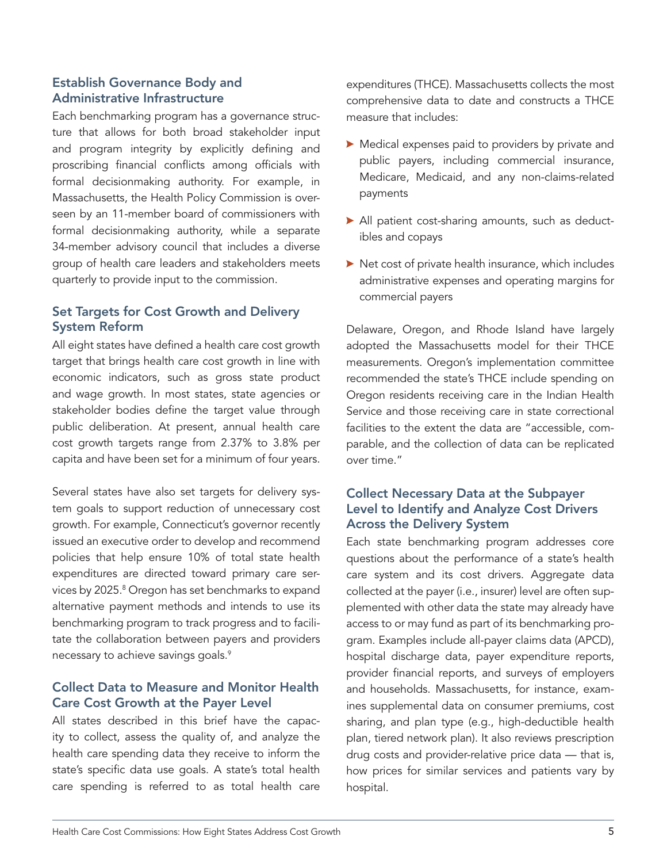## Establish Governance Body and Administrative Infrastructure

Each benchmarking program has a governance structure that allows for both broad stakeholder input and program integrity by explicitly defining and proscribing financial conflicts among officials with formal decisionmaking authority. For example, in Massachusetts, the Health Policy Commission is overseen by an 11-member board of commissioners with formal decisionmaking authority, while a separate 34-member advisory council that includes a diverse group of health care leaders and stakeholders meets quarterly to provide input to the commission.

### Set Targets for Cost Growth and Delivery System Reform

All eight states have defined a health care cost growth target that brings health care cost growth in line with economic indicators, such as gross state product and wage growth. In most states, state agencies or stakeholder bodies define the target value through public deliberation. At present, annual health care cost growth targets range from 2.37% to 3.8% per capita and have been set for a minimum of four years.

Several states have also set targets for delivery system goals to support reduction of unnecessary cost growth. For example, Connecticut's governor recently issued an executive order to develop and recommend policies that help ensure 10% of total state health expenditures are directed toward primary care services by 2025.8 Oregon has set benchmarks to expand alternative payment methods and intends to use its benchmarking program to track progress and to facilitate the collaboration between payers and providers necessary to achieve savings goals.<sup>9</sup>

#### Collect Data to Measure and Monitor Health Care Cost Growth at the Payer Level

All states described in this brief have the capacity to collect, assess the quality of, and analyze the health care spending data they receive to inform the state's specific data use goals. A state's total health care spending is referred to as total health care

expenditures (THCE). Massachusetts collects the most comprehensive data to date and constructs a THCE measure that includes:

- $\blacktriangleright$  Medical expenses paid to providers by private and public payers, including commercial insurance, Medicare, Medicaid, and any non-claims-related payments
- All patient cost-sharing amounts, such as deductibles and copays
- $\blacktriangleright$  Net cost of private health insurance, which includes administrative expenses and operating margins for commercial payers

Delaware, Oregon, and Rhode Island have largely adopted the Massachusetts model for their THCE measurements. Oregon's implementation committee recommended the state's THCE include spending on Oregon residents receiving care in the Indian Health Service and those receiving care in state correctional facilities to the extent the data are "accessible, comparable, and the collection of data can be replicated over time."

## Collect Necessary Data at the Subpayer Level to Identify and Analyze Cost Drivers Across the Delivery System

Each state benchmarking program addresses core questions about the performance of a state's health care system and its cost drivers. Aggregate data collected at the payer (i.e., insurer) level are often supplemented with other data the state may already have access to or may fund as part of its benchmarking program. Examples include all-payer claims data (APCD), hospital discharge data, payer expenditure reports, provider financial reports, and surveys of employers and households. Massachusetts, for instance, examines supplemental data on consumer premiums, cost sharing, and plan type (e.g., high-deductible health plan, tiered network plan). It also reviews prescription drug costs and provider-relative price data — that is, how prices for similar services and patients vary by hospital.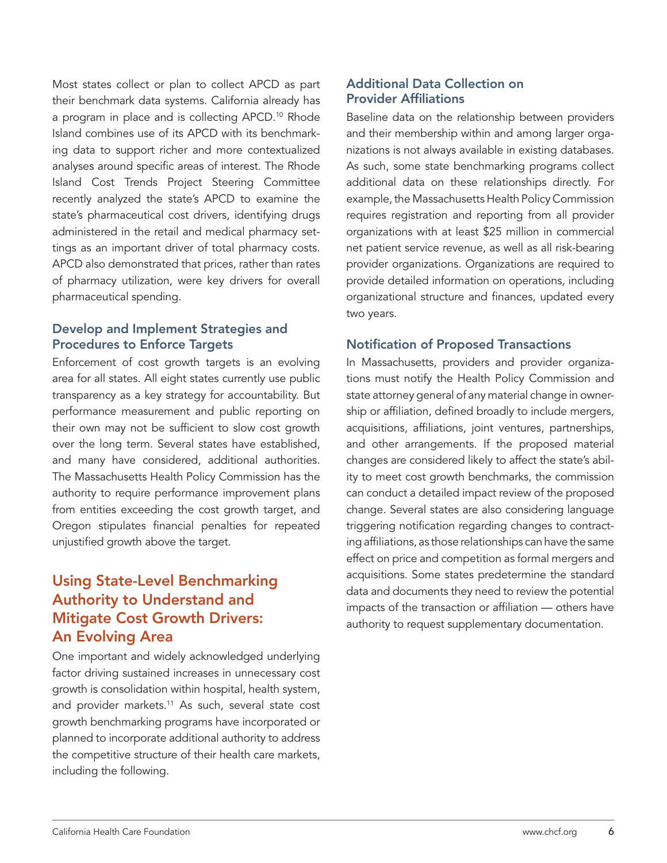Most states collect or plan to collect APCD as part their benchmark data systems. California already has a program in place and is collecting APCD.<sup>10</sup> Rhode Island combines use of its APCD with its benchmarking data to support richer and more contextualized analyses around specific areas of interest. The Rhode Island Cost Trends Project Steering Committee recently analyzed the state's APCD to examine the state's pharmaceutical cost drivers, identifying drugs administered in the retail and medical pharmacy settings as an important driver of total pharmacy costs. APCD also demonstrated that prices, rather than rates of pharmacy utilization, were key drivers for overall pharmaceutical spending.

### Develop and Implement Strategies and Procedures to Enforce Targets

Enforcement of cost growth targets is an evolving area for all states. All eight states currently use public transparency as a key strategy for accountability. But performance measurement and public reporting on their own may not be sufficient to slow cost growth over the long term. Several states have established, and many have considered, additional authorities. The Massachusetts Health Policy Commission has the authority to require performance improvement plans from entities exceeding the cost growth target, and Oregon stipulates financial penalties for repeated unjustified growth above the target.

# Using State-Level Benchmarking Authority to Understand and Mitigate Cost Growth Drivers: An Evolving Area

One important and widely acknowledged underlying factor driving sustained increases in unnecessary cost growth is consolidation within hospital, health system, and provider markets.<sup>11</sup> As such, several state cost growth benchmarking programs have incorporated or planned to incorporate additional authority to address the competitive structure of their health care markets, including the following.

## Additional Data Collection on Provider Affiliations

Baseline data on the relationship between providers and their membership within and among larger organizations is not always available in existing databases. As such, some state benchmarking programs collect additional data on these relationships directly. For example, the Massachusetts Health Policy Commission requires registration and reporting from all provider organizations with at least \$25 million in commercial net patient service revenue, as well as all risk-bearing provider organizations. Organizations are required to provide detailed information on operations, including organizational structure and finances, updated every two years.

#### Notification of Proposed Transactions

In Massachusetts, providers and provider organizations must notify the Health Policy Commission and state attorney general of any material change in ownership or affiliation, defined broadly to include mergers, acquisitions, affiliations, joint ventures, partnerships, and other arrangements. If the proposed material changes are considered likely to affect the state's ability to meet cost growth benchmarks, the commission can conduct a detailed impact review of the proposed change. Several states are also considering language triggering notification regarding changes to contracting affiliations, as those relationships can have the same effect on price and competition as formal mergers and acquisitions. Some states predetermine the standard data and documents they need to review the potential impacts of the transaction or affiliation — others have authority to request supplementary documentation.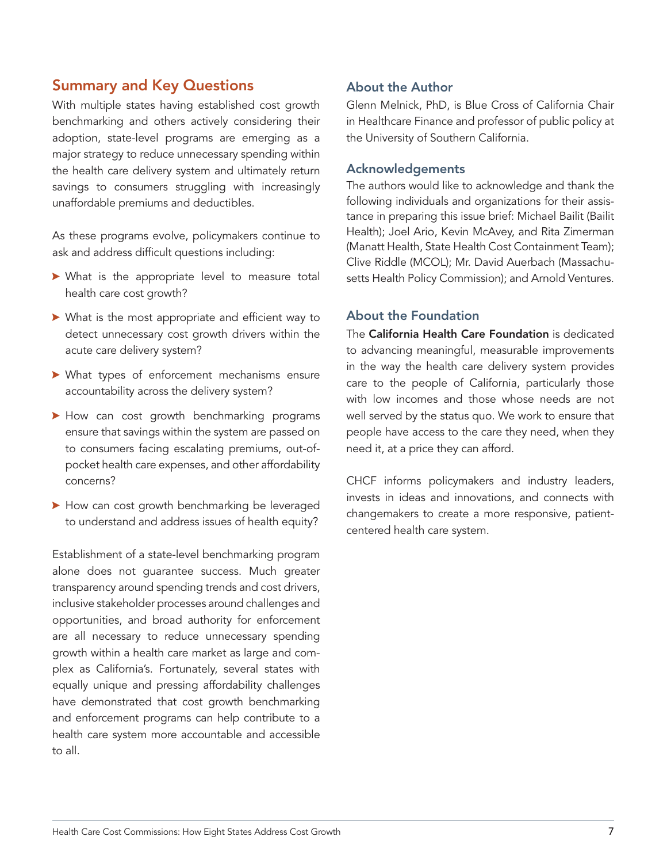## Summary and Key Questions

With multiple states having established cost growth benchmarking and others actively considering their adoption, state-level programs are emerging as a major strategy to reduce unnecessary spending within the health care delivery system and ultimately return savings to consumers struggling with increasingly unaffordable premiums and deductibles.

As these programs evolve, policymakers continue to ask and address difficult questions including:

- $\blacktriangleright$  What is the appropriate level to measure total health care cost growth?
- $\blacktriangleright$  What is the most appropriate and efficient way to detect unnecessary cost growth drivers within the acute care delivery system?
- $\blacktriangleright$  What types of enforcement mechanisms ensure accountability across the delivery system?
- How can cost growth benchmarking programs ensure that savings within the system are passed on to consumers facing escalating premiums, out-ofpocket health care expenses, and other affordability concerns?
- How can cost growth benchmarking be leveraged to understand and address issues of health equity?

Establishment of a state-level benchmarking program alone does not guarantee success. Much greater transparency around spending trends and cost drivers, inclusive stakeholder processes around challenges and opportunities, and broad authority for enforcement are all necessary to reduce unnecessary spending growth within a health care market as large and complex as California's. Fortunately, several states with equally unique and pressing affordability challenges have demonstrated that cost growth benchmarking and enforcement programs can help contribute to a health care system more accountable and accessible to all.

#### About the Author

Glenn Melnick, PhD, is Blue Cross of California Chair in Healthcare Finance and professor of public policy at the University of Southern California.

#### Acknowledgements

The authors would like to acknowledge and thank the following individuals and organizations for their assistance in preparing this issue brief: Michael Bailit (Bailit Health); Joel Ario, Kevin McAvey, and Rita Zimerman (Manatt Health, State Health Cost Containment Team); Clive Riddle (MCOL); Mr. David Auerbach (Massachusetts Health Policy Commission); and Arnold Ventures.

#### About the Foundation

The [California Health Care Foundation](http://www.chcf.org) is dedicated to advancing meaningful, measurable improvements in the way the health care delivery system provides care to the people of California, particularly those with low incomes and those whose needs are not well served by the status quo. We work to ensure that people have access to the care they need, when they need it, at a price they can afford.

CHCF informs policymakers and industry leaders, invests in ideas and innovations, and connects with changemakers to create a more responsive, patientcentered health care system.